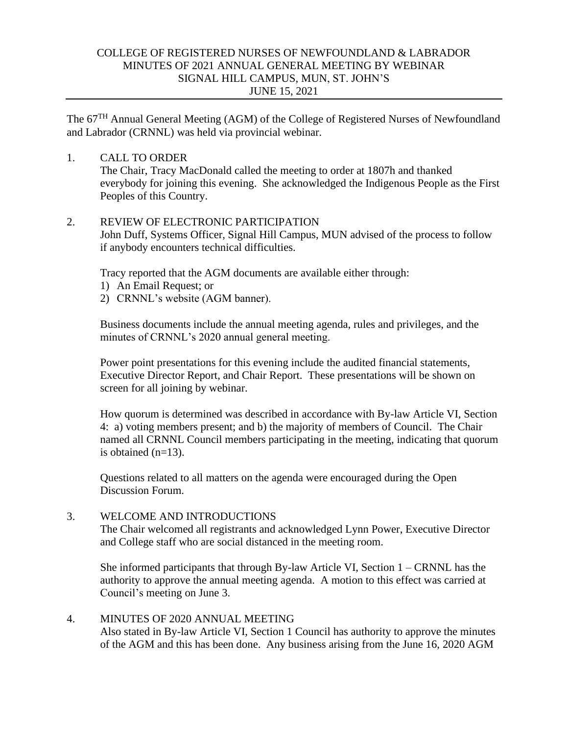# COLLEGE OF REGISTERED NURSES OF NEWFOUNDLAND & LABRADOR MINUTES OF 2021 ANNUAL GENERAL MEETING BY WEBINAR SIGNAL HILL CAMPUS, MUN, ST. JOHN'S JUNE 15, 2021

The 67<sup>TH</sup> Annual General Meeting (AGM) of the College of Registered Nurses of Newfoundland and Labrador (CRNNL) was held via provincial webinar.

## 1. CALL TO ORDER

The Chair, Tracy MacDonald called the meeting to order at 1807h and thanked everybody for joining this evening. She acknowledged the Indigenous People as the First Peoples of this Country.

## 2. REVIEW OF ELECTRONIC PARTICIPATION

John Duff, Systems Officer, Signal Hill Campus, MUN advised of the process to follow if anybody encounters technical difficulties.

Tracy reported that the AGM documents are available either through:

- 1) An Email Request; or
- 2) CRNNL's website (AGM banner).

Business documents include the annual meeting agenda, rules and privileges, and the minutes of CRNNL's 2020 annual general meeting.

Power point presentations for this evening include the audited financial statements, Executive Director Report, and Chair Report. These presentations will be shown on screen for all joining by webinar.

How quorum is determined was described in accordance with By-law Article VI, Section 4: a) voting members present; and b) the majority of members of Council. The Chair named all CRNNL Council members participating in the meeting, indicating that quorum is obtained (n=13).

Questions related to all matters on the agenda were encouraged during the Open Discussion Forum.

## 3. WELCOME AND INTRODUCTIONS

The Chair welcomed all registrants and acknowledged Lynn Power, Executive Director and College staff who are social distanced in the meeting room.

She informed participants that through By-law Article VI, Section 1 – CRNNL has the authority to approve the annual meeting agenda. A motion to this effect was carried at Council's meeting on June 3.

# 4. MINUTES OF 2020 ANNUAL MEETING

Also stated in By-law Article VI, Section 1 Council has authority to approve the minutes of the AGM and this has been done. Any business arising from the June 16, 2020 AGM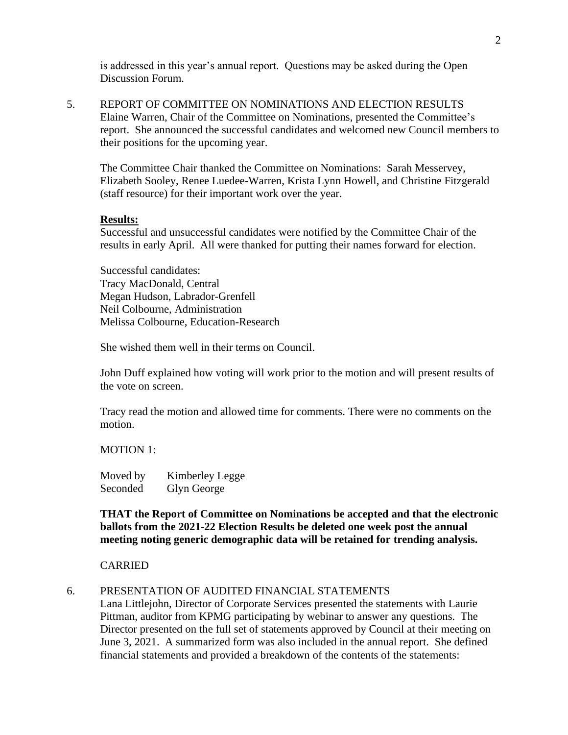is addressed in this year's annual report. Questions may be asked during the Open Discussion Forum.

5. REPORT OF COMMITTEE ON NOMINATIONS AND ELECTION RESULTS Elaine Warren, Chair of the Committee on Nominations, presented the Committee's report. She announced the successful candidates and welcomed new Council members to their positions for the upcoming year.

The Committee Chair thanked the Committee on Nominations: Sarah Messervey, Elizabeth Sooley, Renee Luedee-Warren, Krista Lynn Howell, and Christine Fitzgerald (staff resource) for their important work over the year.

#### **Results:**

Successful and unsuccessful candidates were notified by the Committee Chair of the results in early April. All were thanked for putting their names forward for election.

Successful candidates: Tracy MacDonald, Central Megan Hudson, Labrador-Grenfell Neil Colbourne, Administration Melissa Colbourne, Education-Research

She wished them well in their terms on Council.

John Duff explained how voting will work prior to the motion and will present results of the vote on screen.

Tracy read the motion and allowed time for comments. There were no comments on the motion.

MOTION 1:

Moved by Kimberley Legge Seconded Glyn George

**THAT the Report of Committee on Nominations be accepted and that the electronic ballots from the 2021-22 Election Results be deleted one week post the annual meeting noting generic demographic data will be retained for trending analysis.**

#### CARRIED

6. PRESENTATION OF AUDITED FINANCIAL STATEMENTS

Lana Littlejohn, Director of Corporate Services presented the statements with Laurie Pittman, auditor from KPMG participating by webinar to answer any questions. The Director presented on the full set of statements approved by Council at their meeting on June 3, 2021. A summarized form was also included in the annual report. She defined financial statements and provided a breakdown of the contents of the statements: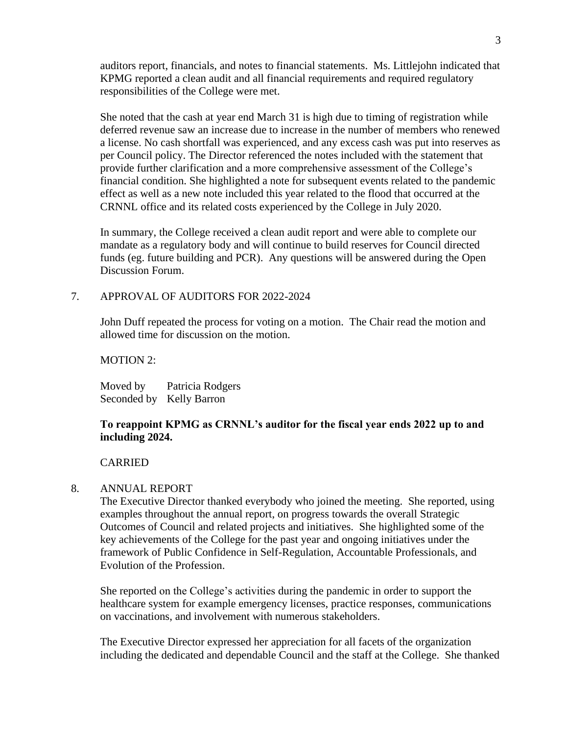auditors report, financials, and notes to financial statements. Ms. Littlejohn indicated that KPMG reported a clean audit and all financial requirements and required regulatory responsibilities of the College were met.

She noted that the cash at year end March 31 is high due to timing of registration while deferred revenue saw an increase due to increase in the number of members who renewed a license. No cash shortfall was experienced, and any excess cash was put into reserves as per Council policy. The Director referenced the notes included with the statement that provide further clarification and a more comprehensive assessment of the College's financial condition. She highlighted a note for subsequent events related to the pandemic effect as well as a new note included this year related to the flood that occurred at the CRNNL office and its related costs experienced by the College in July 2020.

In summary, the College received a clean audit report and were able to complete our mandate as a regulatory body and will continue to build reserves for Council directed funds (eg. future building and PCR). Any questions will be answered during the Open Discussion Forum.

## 7. APPROVAL OF AUDITORS FOR 2022-2024

John Duff repeated the process for voting on a motion. The Chair read the motion and allowed time for discussion on the motion.

MOTION 2:

Moved by Patricia Rodgers Seconded by Kelly Barron

## **To reappoint KPMG as CRNNL's auditor for the fiscal year ends 2022 up to and including 2024.**

### CARRIED

### 8. ANNUAL REPORT

The Executive Director thanked everybody who joined the meeting. She reported, using examples throughout the annual report, on progress towards the overall Strategic Outcomes of Council and related projects and initiatives. She highlighted some of the key achievements of the College for the past year and ongoing initiatives under the framework of Public Confidence in Self-Regulation, Accountable Professionals, and Evolution of the Profession.

She reported on the College's activities during the pandemic in order to support the healthcare system for example emergency licenses, practice responses, communications on vaccinations, and involvement with numerous stakeholders.

The Executive Director expressed her appreciation for all facets of the organization including the dedicated and dependable Council and the staff at the College. She thanked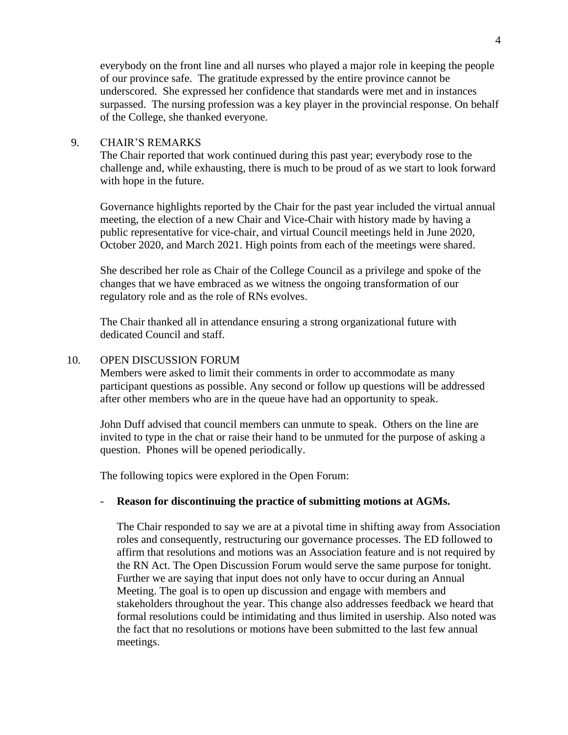everybody on the front line and all nurses who played a major role in keeping the people of our province safe. The gratitude expressed by the entire province cannot be underscored. She expressed her confidence that standards were met and in instances surpassed. The nursing profession was a key player in the provincial response. On behalf of the College, she thanked everyone.

### 9. CHAIR'S REMARKS

The Chair reported that work continued during this past year; everybody rose to the challenge and, while exhausting, there is much to be proud of as we start to look forward with hope in the future.

Governance highlights reported by the Chair for the past year included the virtual annual meeting, the election of a new Chair and Vice-Chair with history made by having a public representative for vice-chair, and virtual Council meetings held in June 2020, October 2020, and March 2021. High points from each of the meetings were shared.

She described her role as Chair of the College Council as a privilege and spoke of the changes that we have embraced as we witness the ongoing transformation of our regulatory role and as the role of RNs evolves.

The Chair thanked all in attendance ensuring a strong organizational future with dedicated Council and staff.

### 10. OPEN DISCUSSION FORUM

Members were asked to limit their comments in order to accommodate as many participant questions as possible. Any second or follow up questions will be addressed after other members who are in the queue have had an opportunity to speak.

John Duff advised that council members can unmute to speak. Others on the line are invited to type in the chat or raise their hand to be unmuted for the purpose of asking a question. Phones will be opened periodically.

The following topics were explored in the Open Forum:

### - **Reason for discontinuing the practice of submitting motions at AGMs.**

The Chair responded to say we are at a pivotal time in shifting away from Association roles and consequently, restructuring our governance processes. The ED followed to affirm that resolutions and motions was an Association feature and is not required by the RN Act. The Open Discussion Forum would serve the same purpose for tonight. Further we are saying that input does not only have to occur during an Annual Meeting. The goal is to open up discussion and engage with members and stakeholders throughout the year. This change also addresses feedback we heard that formal resolutions could be intimidating and thus limited in usership. Also noted was the fact that no resolutions or motions have been submitted to the last few annual meetings.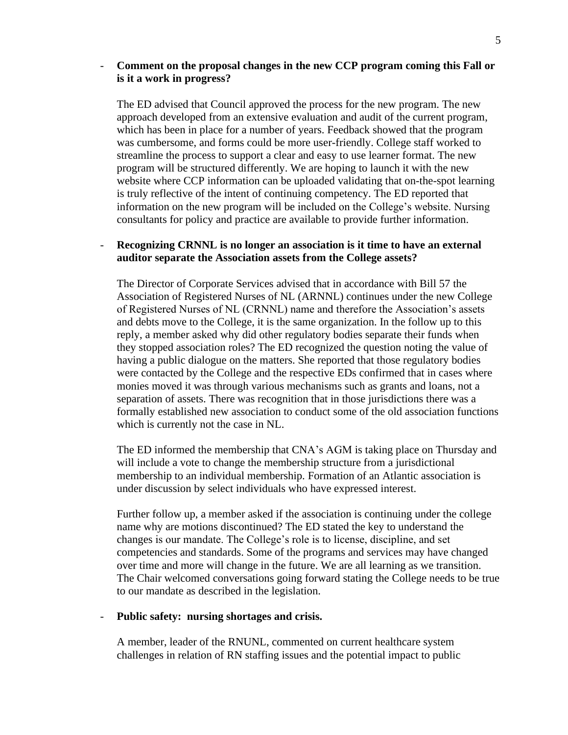## - **Comment on the proposal changes in the new CCP program coming this Fall or is it a work in progress?**

The ED advised that Council approved the process for the new program. The new approach developed from an extensive evaluation and audit of the current program, which has been in place for a number of years. Feedback showed that the program was cumbersome, and forms could be more user-friendly. College staff worked to streamline the process to support a clear and easy to use learner format. The new program will be structured differently. We are hoping to launch it with the new website where CCP information can be uploaded validating that on-the-spot learning is truly reflective of the intent of continuing competency. The ED reported that information on the new program will be included on the College's website. Nursing consultants for policy and practice are available to provide further information.

## - **Recognizing CRNNL is no longer an association is it time to have an external auditor separate the Association assets from the College assets?**

The Director of Corporate Services advised that in accordance with Bill 57 the Association of Registered Nurses of NL (ARNNL) continues under the new College of Registered Nurses of NL (CRNNL) name and therefore the Association's assets and debts move to the College, it is the same organization. In the follow up to this reply, a member asked why did other regulatory bodies separate their funds when they stopped association roles? The ED recognized the question noting the value of having a public dialogue on the matters. She reported that those regulatory bodies were contacted by the College and the respective EDs confirmed that in cases where monies moved it was through various mechanisms such as grants and loans, not a separation of assets. There was recognition that in those jurisdictions there was a formally established new association to conduct some of the old association functions which is currently not the case in NL.

The ED informed the membership that CNA's AGM is taking place on Thursday and will include a vote to change the membership structure from a jurisdictional membership to an individual membership. Formation of an Atlantic association is under discussion by select individuals who have expressed interest.

Further follow up, a member asked if the association is continuing under the college name why are motions discontinued? The ED stated the key to understand the changes is our mandate. The College's role is to license, discipline, and set competencies and standards. Some of the programs and services may have changed over time and more will change in the future. We are all learning as we transition. The Chair welcomed conversations going forward stating the College needs to be true to our mandate as described in the legislation.

#### - **Public safety: nursing shortages and crisis.**

A member, leader of the RNUNL, commented on current healthcare system challenges in relation of RN staffing issues and the potential impact to public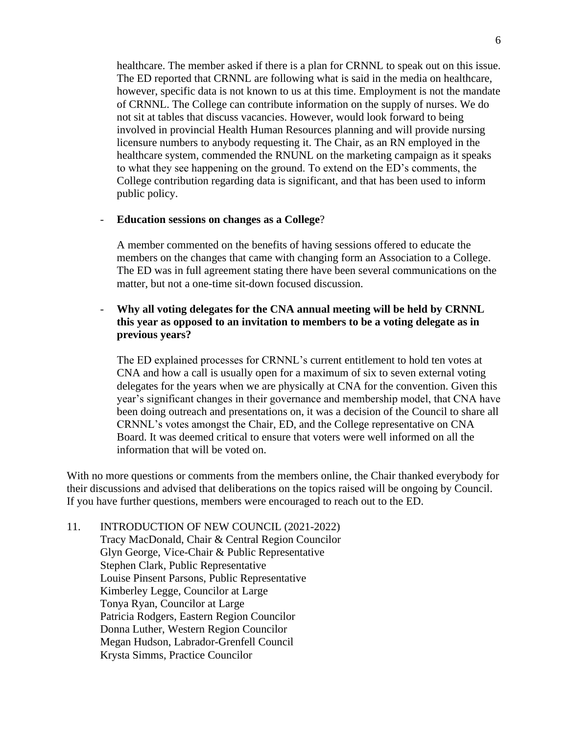healthcare. The member asked if there is a plan for CRNNL to speak out on this issue. The ED reported that CRNNL are following what is said in the media on healthcare, however, specific data is not known to us at this time. Employment is not the mandate of CRNNL. The College can contribute information on the supply of nurses. We do not sit at tables that discuss vacancies. However, would look forward to being involved in provincial Health Human Resources planning and will provide nursing licensure numbers to anybody requesting it. The Chair, as an RN employed in the healthcare system, commended the RNUNL on the marketing campaign as it speaks to what they see happening on the ground. To extend on the ED's comments, the College contribution regarding data is significant, and that has been used to inform public policy.

### - **Education sessions on changes as a College**?

A member commented on the benefits of having sessions offered to educate the members on the changes that came with changing form an Association to a College. The ED was in full agreement stating there have been several communications on the matter, but not a one-time sit-down focused discussion.

# - **Why all voting delegates for the CNA annual meeting will be held by CRNNL this year as opposed to an invitation to members to be a voting delegate as in previous years?**

The ED explained processes for CRNNL's current entitlement to hold ten votes at CNA and how a call is usually open for a maximum of six to seven external voting delegates for the years when we are physically at CNA for the convention. Given this year's significant changes in their governance and membership model, that CNA have been doing outreach and presentations on, it was a decision of the Council to share all CRNNL's votes amongst the Chair, ED, and the College representative on CNA Board. It was deemed critical to ensure that voters were well informed on all the information that will be voted on.

With no more questions or comments from the members online, the Chair thanked everybody for their discussions and advised that deliberations on the topics raised will be ongoing by Council. If you have further questions, members were encouraged to reach out to the ED.

11. INTRODUCTION OF NEW COUNCIL (2021-2022) Tracy MacDonald, Chair & Central Region Councilor Glyn George, Vice-Chair & Public Representative Stephen Clark, Public Representative Louise Pinsent Parsons, Public Representative Kimberley Legge, Councilor at Large Tonya Ryan, Councilor at Large Patricia Rodgers, Eastern Region Councilor Donna Luther, Western Region Councilor Megan Hudson, Labrador-Grenfell Council Krysta Simms, Practice Councilor